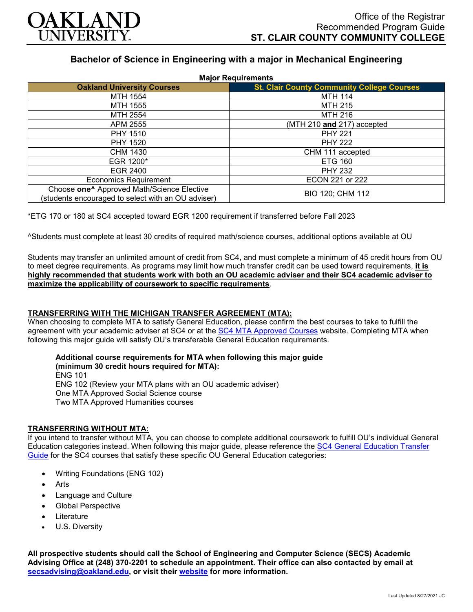

# **Bachelor of Science in Engineering with a major in Mechanical Engineering**

| <b>Major Requirements</b>                                                                                    |                                                   |
|--------------------------------------------------------------------------------------------------------------|---------------------------------------------------|
| <b>Oakland University Courses</b>                                                                            | <b>St. Clair County Community College Courses</b> |
| <b>MTH 1554</b>                                                                                              | <b>MTH 114</b>                                    |
| MTH 1555                                                                                                     | <b>MTH 215</b>                                    |
| MTH 2554                                                                                                     | <b>MTH 216</b>                                    |
| APM 2555                                                                                                     | (MTH 210 and 217) accepted                        |
| <b>PHY 1510</b>                                                                                              | <b>PHY 221</b>                                    |
| <b>PHY 1520</b>                                                                                              | <b>PHY 222</b>                                    |
| CHM 1430                                                                                                     | CHM 111 accepted                                  |
| EGR 1200*                                                                                                    | <b>ETG 160</b>                                    |
| EGR 2400                                                                                                     | <b>PHY 232</b>                                    |
| <b>Economics Requirement</b>                                                                                 | ECON 221 or 222                                   |
| Choose one <sup>^</sup> Approved Math/Science Elective<br>(students encouraged to select with an OU adviser) | BIO 120; CHM 112                                  |

\*ETG 170 or 180 at SC4 accepted toward EGR 1200 requirement if transferred before Fall 2023

^Students must complete at least 30 credits of required math/science courses, additional options available at OU

Students may transfer an unlimited amount of credit from SC4, and must complete a minimum of 45 credit hours from OU to meet degree requirements. As programs may limit how much transfer credit can be used toward requirements, **it is highly recommended that students work with both an OU academic adviser and their SC4 academic adviser to maximize the applicability of coursework to specific requirements**.

#### **TRANSFERRING WITH THE MICHIGAN TRANSFER AGREEMENT (MTA):**

When choosing to complete MTA to satisfy General Education, please confirm the best courses to take to fulfill the agreement with your academic adviser at SC4 or at the **SC4 MTA Approved Courses** website. Completing MTA when following this major guide will satisfy OU's transferable General Education requirements.

#### **Additional course requirements for MTA when following this major guide**

**(minimum 30 credit hours required for MTA):** ENG 101 ENG 102 (Review your MTA plans with an OU academic adviser) One MTA Approved Social Science course Two MTA Approved Humanities courses

#### **TRANSFERRING WITHOUT MTA:**

If you intend to transfer without MTA, you can choose to complete additional coursework to fulfill OU's individual General Education categories instead. When following this major guide, please reference the [SC4 General Education Transfer](https://www.oakland.edu/Assets/Oakland/program-guides/st-clair-county-community-college/university-general-education-requirements/SC4%20Gen%20Ed.pdf)  [Guide](https://www.oakland.edu/Assets/Oakland/program-guides/st-clair-county-community-college/university-general-education-requirements/SC4%20Gen%20Ed.pdf) for the SC4 courses that satisfy these specific OU General Education categories:

- Writing Foundations (ENG 102)
- **Arts**
- Language and Culture
- Global Perspective
- **Literature**
- U.S. Diversity

**All prospective students should call the School of Engineering and Computer Science (SECS) Academic Advising Office at (248) 370-2201 to schedule an appointment. Their office can also contacted by email at [secsadvising@oakland.edu,](mailto:secsadvising@oakland.edu) or visit their [website](https://wwwp.oakland.edu/secs/advising/) for more information.**